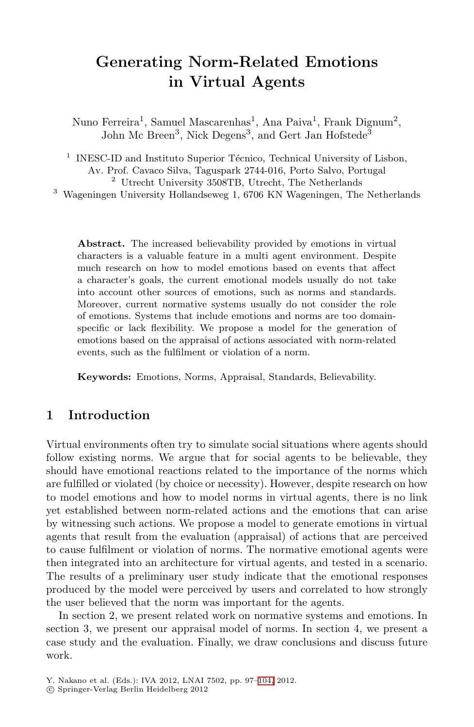# **Generating Norm-Related Emotions in Virtual Agents**

Nuno Ferreira<sup>1</sup>, Samuel Mascarenhas<sup>1</sup>, Ana Paiva<sup>1</sup>, Frank Dignum<sup>2</sup>, John Mc  $\mathrm{Breen}^3,$  Nick  $\mathrm{Degens}^3,$  and  $\mathrm{Gert}$  Jan  $\mathrm{Hofstede}^3$ 

<sup>1</sup> INESC-ID and Instituto Superior Técnico, Technical University of Lisbon, Av. Prof. Cavaco Silva, Taguspark 2744-016, Porto Salvo, Portugal <sup>2</sup> Utrecht University 3508TB, Utrecht, The Netherlands <sup>3</sup> Wageningen University Hollandseweg 1, 6706 KN Wageningen, The Netherlands

**Abstract.** The increased believability provided by emotions in virtual characters is a valuable feature in a multi agent environment. Despite much research on how to model emotions based on events that affect a character's goals, the current emotional models usually do not take into account other sources of emotions, such as norms and standards. Moreover, current normative systems usually do not consider the role of emotions. Systems that include emotions and norms are too domainspecific or lack flexibility. We propose a model for the generation of emotions based on the appraisal of actions associated with norm-related events, such as the fulfilment or violation of a norm.

**Keywords:** Emotions, Norms, Appraisal, Standards, Believability.

#### **1 Introduction**

Virtual environments often try to simulate social situations where agents should follow existing norms. We argue that for social agents to be believable, they should have emotional reactions related to the importance of the norms which are fulfilled or violated (by choice or necessity). However, despite research on how to model emotions and how to model norms in virtual agents, there is no link yet established between norm-related actions and the emotions that can arise by witnessing such actions. We propose a model to generate emotions in virtual agents that result from the evaluation (appraisal) of actions that are perceived to cause fulfilment or violation of norms. The normative emotional agents were then integrated into an architecture for virtual agents, and tested in a scenario. The results of a preliminary user study indicate that the emotional responses produced by the model were perceived by users and correlated to how strongly the user believed that the norm was important for the agents.

In section 2, we present related work on normative systems and emotions. In section 3, we present our appraisal model of norms. In section 4, we present a case study and the evaluation. Finally, we draw conclusions and discuss future work.

<sup>-</sup>c Springer-Verlag Berlin Heidelberg 2012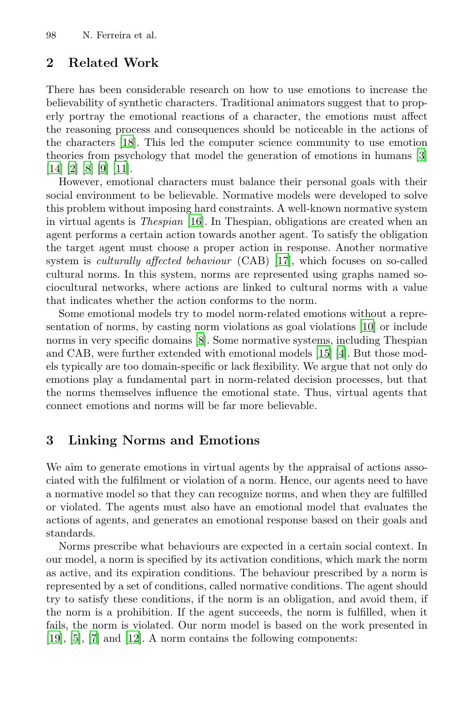## **2 Related Work**

There has been considerable research on how to use emotions to increase the believability of synthetic characters. Traditional animators suggest that to properly portray the emotional reactions of a character, the emotions must affect the reasoning process and consequences should be noticeable in the actions of the characters [18]. This led the computer science community to use emotion theories from psychology that model the generation of emotions in humans [3] [14] [2] [8] [9] [11].

However, emotional characters must balance their personal goals with their social environment to be believable. Normative models were developed to solve this problem without imposing hard constraints. A well-known normative system in virtual agents is *Thespian* [16]. In Thespian, obligations are created when an agent performs a certain action towards another agent. To satisfy the obligation the target agent must choose a proper action in response. Another normative system is *culturally affected behaviour* (CAB) [17], which focuses on so-called cultural norms. In this system, norms are represented using graphs named sociocultural networks, where actions are linked to cultural norms with a value that indicates whether the action conforms to the norm.

Some emotional models try to model norm-related emotions without a representation of norms, by casting norm violations as goal violations [10] or include norms in very specific domains [8]. Some normative systems, including Thespian and CAB, were further extended with emotional models [15] [4]. But those models typically are too domain-specific or lack flexibility. We argue that not only do emotions play a fundamental part in norm-related decision processes, but that the norms themselves influence the emotional state. Thus, virtual agents that connect emotions and norms will be far more believable.

#### **3 Linking Norms and Emotions**

We aim to generate emotions in virtual agents by the appraisal of actions associated with the fulfilment or violation of a norm. Hence, our agents need to have a normative model so that they can recognize norms, and when they are fulfilled or violated. The agents must also have an emotional model that evaluates the actions of agents, and generates an emotional response based on their goals and standards.

Norms prescribe what behaviours are expected in a certain social context. In our model, a norm is specified by its activation conditions, which mark the norm as active, and its expiration conditions. The behaviour prescribed by a norm is represented by a set of conditions, called normative conditions. The agent should try to satisfy these conditions, if the norm is an obligation, and avoid them, if the norm is a prohibition. If the agent succeeds, the norm is fulfilled, when it fails, the norm is violated. Our norm model is based on the work presented in [19], [5], [7] and [12]. A norm contains the following components: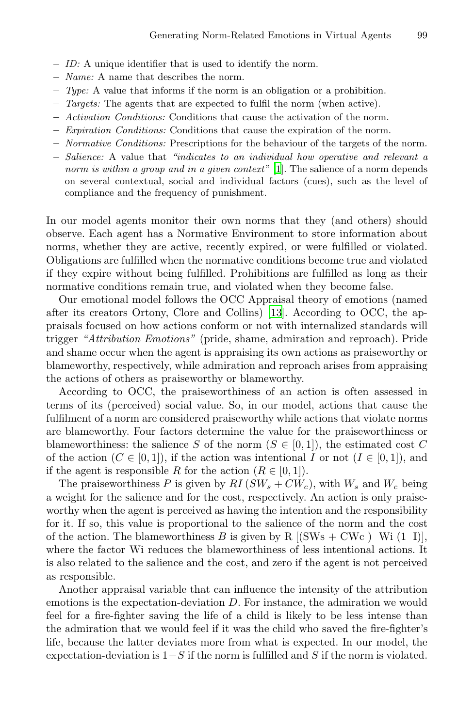- **–** *ID:* A unique identifier that is used to identify the norm.
- **–** *Name:* A name that describes the norm.
- **–** *Type:* A value that informs if the norm is an obligation or a prohibition.
- **–** *Targets:* The agents that are expected to fulfil the norm (when active).
- **–** *Activation Conditions:* Conditions that cause the activation of the norm.
- **–** *Expiration Conditions:* Conditions that cause the expiration of the norm.
- **–** *Normative Conditions:* Prescriptions for the behaviour of the targets of the norm.
- **–** *Salience:* A value that *"indicates to an individual how operative and relevant a norm is within a group and in a given context"* [1]. The salience of a norm depends on several contextual, social and individual factors (cues), such as the level of compliance and the frequency of punishment.

In our model agents monitor their own norms that they (and others) should observe. Each agent has a Normative Environment to store information about norms, whether they are active, recently expired, or were fulfilled or violated. Obligations are fulfilled when the normative conditions become true and violated if they expire without being fulfilled. Prohibitions are fulfilled as long as their normative conditions remain true, and violated when they become false.

Our emotional model follows the OCC Appraisal theory of emotions (named after its creators Ortony, Clore and Collins) [13]. According to OCC, the appraisals focused on how actions conform or not with internalized standards will trigger *"Attribution Emotions"* (pride, shame, admiration and reproach). Pride and shame occur when the agent is appraising its own actions as praiseworthy or blameworthy, respectively, while admiration and reproach arises from appraising the actions of others as praiseworthy or blameworthy.

According to OCC, the praiseworthiness of an action is often assessed in terms of its (perceived) social value. So, in our model, actions that cause the fulfilment of a norm are considered praiseworthy while actions that violate norms are blameworthy. Four factors determine the value for the praiseworthiness or blameworthiness: the salience *S* of the norm  $(S \in [0,1])$ , the estimated cost *C* of the action  $(C \in [0, 1])$ , if the action was intentional *I* or not  $(I \in [0, 1])$ , and if the agent is responsible *R* for the action  $(R \in [0, 1])$ .

The praiseworthiness P is given by  $RI(SW_s + CW_c)$ , with  $W_s$  and  $W_c$  being a weight for the salience and for the cost, respectively. An action is only praiseworthy when the agent is perceived as having the intention and the responsibility for it. If so, this value is proportional to the salience of the norm and the cost of the action. The blameworthiness *B* is given by R  $[(SWs + CWc)$  Wi  $(1 I)]$ , where the factor Wi reduces the blameworthiness of less intentional actions. It is also related to the salience and the cost, and zero if the agent is not perceived as responsible.

Another appraisal variable that can influence the intensity of the attribution emotions is the expectation-deviation *D*. For instance, the admiration we would feel for a fire-fighter saving the life of a child is likely to be less intense than the admiration that we would feel if it was the child who saved the fire-fighter's life, because the latter deviates more from what is expected. In our model, the expectation-deviation is 1−*S* if the norm is fulfilled and *S* if the norm is violated.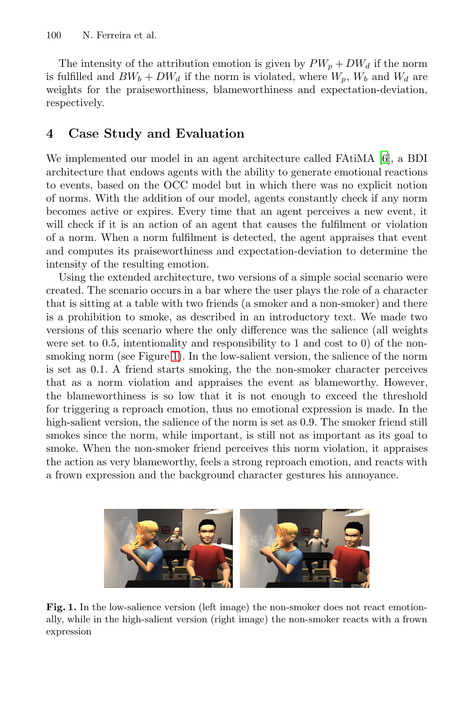The intensity of the attribution emotion is given by  $PW_p + DW_d$  if the norm is fulfilled and  $BW_b + DW_d$  if the norm is violated, where  $W_p$ ,  $W_b$  and  $W_d$  are weights for the praiseworthiness, blameworthiness and expectation-deviation, respectively.

### **4 Case Study and Evaluation**

We implemented our model in an agent architecture called FAtiMA [6], a BDI architecture that endows agents with the ability to generate emotional reactions to events, based on the OCC model but in which there was no explicit notion of norms. With the addition of our model, agents constantly check if any norm becomes active or expires. Every time that an agent perceives a new event, it will check if it is an action of an agent that causes the fulfilment or violation of a norm. When a norm fulfilment is detected, the agent appraises that event and computes its praiseworthiness and expectation-deviation to determine the intensity of the resulting emotion.

Using the extended architecture, two versions of a simple social scenario were created. The scenario occurs in a bar where the user plays the role of a character that is sitting at a table with two friends (a smoker and a non-smoker) and there is a prohibition to smoke, as described in an introductory text. We made two versions of this scenario where the only difference was the salience (all weights were set to 0.5, intentionality and responsibility to 1 and cost to 0) of the nonsmoking norm (see Figure [1\)](#page-3-0). In the low-salient version, the salience of the norm is set as 0.1. A friend starts smoking, the the non-smoker character perceives that as a norm violation and appraises the event as blameworthy. However, the blameworthiness is so low that it is not enough to exceed the threshold for triggering a reproach emotion, thus no emotional expression is made. In the high-salient version, the salience of the norm is set as 0.9. The smoker friend still smokes since the norm, while important, is still not as important as its goal to smoke. When the non-smoker friend perceives this norm violation, it appraises the action as very blameworthy, feels a strong reproach emotion, and reacts with a frown expression and the background character gestures his annoyance.

<span id="page-3-0"></span>

**Fig. 1.** In the low-salience version (left image) the non-smoker does not react emotionally, while in the high-salient version (right image) the non-smoker reacts with a frown expression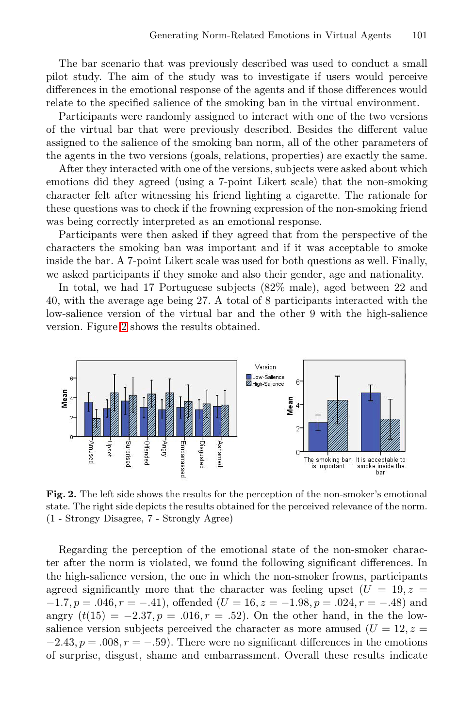The bar scenario that was previously described was used to conduct a small pilot study. The aim of the study was to investigate if users would perceive differences in the emotional response of the agents and if those differences would relate to the specified salience of the smoking ban in the virtual environment.

Participants were randomly assigned to interact with one of the two versions of the virtual bar that were previously described. Besides the different value assigned to the salience of the smoking ban norm, all of the other parameters of the agents in the two versions (goals, relations, properties) are exactly the same.

After they interacted with one of the versions, subjects were asked about which emotions did they agreed (using a 7-point Likert scale) that the non-smoking character felt after witnessing his friend lighting a cigarette. The rationale for these questions was to check if the frowning expression of the non-smoking friend was being correctly interpreted as an emotional response.

Participants were then asked if they agreed that from the perspective of the characters the smoking ban was important and if it was acceptable to smoke inside the bar. A 7-point Likert scale was used for both questions as well. Finally, we asked participants if they smoke and also their gender, age and nationality.

In total, we had 17 Portuguese subjects (82% male), aged between 22 and 40, with the average age being 27. A total of 8 participants interacted with the low-salience version of the virtual bar and the other 9 with the high-salience version. Figure [2](#page-4-0) shows the results obtained.

<span id="page-4-0"></span>

**Fig. 2.** The left side shows the results for the perception of the non-smoker's emotional state. The right side depicts the results obtained for the perceived relevance of the norm. (1 - Strongy Disagree, 7 - Strongly Agree)

Regarding the perception of the emotional state of the non-smoker character after the norm is violated, we found the following significant differences. In the high-salience version, the one in which the non-smoker frowns, participants agreed significantly more that the character was feeling upset  $(U = 19, z = 10)$ −1*.*7*, p* = *.*046*, r* = −*.*41), offended (*U* = 16*, z* = −1*.*98*, p* = *.*024*, r* = −*.*48) and angry  $(t(15) = -2.37, p = .016, r = .52)$ . On the other hand, in the the lowsalience version subjects perceived the character as more amused  $(U = 12, z =$ −2*.*43*, p* = *.*008*, r* = −*.*59). There were no significant differences in the emotions of surprise, disgust, shame and embarrassment. Overall these results indicate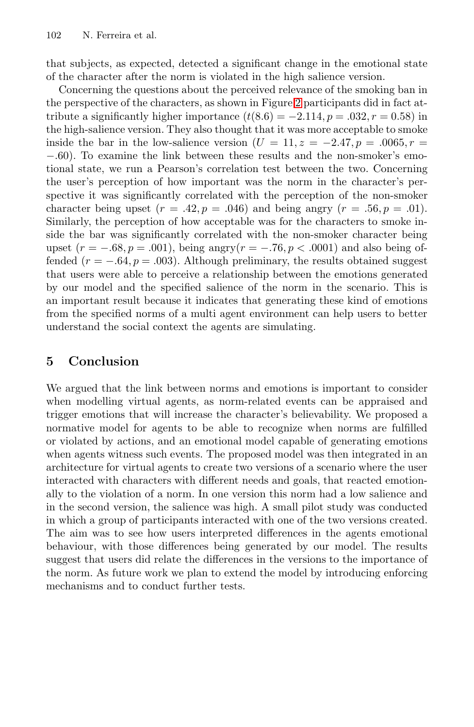that subjects, as expected, detected a significant change in the emotional state of the character after the norm is violated in the high salience version.

Concerning the questions about the perceived relevance of the smoking ban in the perspective of the characters, as shown in Figure [2](#page-4-0) participants did in fact attribute a significantly higher importance  $(t(8.6) = -2.114, p = .032, r = 0.58)$  in the high-salience version. They also thought that it was more acceptable to smoke inside the bar in the low-salience version  $(U = 11, z = -2.47, p = .0065, r = 1.0065, r = 1.0065, r = 1.0065$ −*.*60). To examine the link between these results and the non-smoker's emotional state, we run a Pearson's correlation test between the two. Concerning the user's perception of how important was the norm in the character's perspective it was significantly correlated with the perception of the non-smoker character being upset  $(r = .42, p = .046)$  and being angry  $(r = .56, p = .01)$ . Similarly, the perception of how acceptable was for the characters to smoke inside the bar was significantly correlated with the non-smoker character being upset  $(r = -.68, p = .001)$ , being angry $(r = -.76, p < .0001)$  and also being offended  $(r = -.64, p = .003)$ . Although preliminary, the results obtained suggest that users were able to perceive a relationship between the emotions generated by our model and the specified salience of the norm in the scenario. This is an important result because it indicates that generating these kind of emotions from the specified norms of a multi agent environment can help users to better understand the social context the agents are simulating.

# **5 Conclusion**

We argued that the link between norms and emotions is important to consider when modelling virtual agents, as norm-related events can be appraised and trigger emotions that will increase the character's believability. We proposed a normative model for agents to be able to recognize when norms are fulfilled or violated by actions, and an emotional model capable of generating emotions when agents witness such events. The proposed model was then integrated in an architecture for virtual agents to create two versions of a scenario where the user interacted with characters with different needs and goals, that reacted emotionally to the violation of a norm. In one version this norm had a low salience and in the second version, the salience was high. A small pilot study was conducted in which a group of participants interacted with one of the two versions created. The aim was to see how users interpreted differences in the agents emotional behaviour, with those differences being generated by our model. The results suggest that users did relate the differences in the versions to the importance of the norm. As future work we plan to extend the model by introducing enforcing mechanisms and to conduct further tests.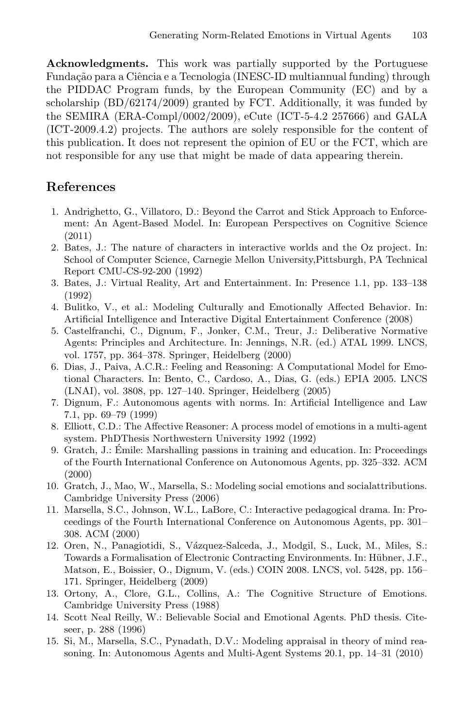**Acknowledgments.** This work was partially supported by the Portuguese Fundação para a Ciência e a Tecnologia (INESC-ID multiannual funding) through the PIDDAC Program funds, by the European Community (EC) and by a scholarship (BD/62174/2009) granted by FCT. Additionally, it was funded by the SEMIRA (ERA-Compl/0002/2009), eCute (ICT-5-4.2 257666) and GALA (ICT-2009.4.2) projects. The authors are solely responsible for the content of this publication. It does not represent the opinion of EU or the FCT, which are not responsible for any use that might be made of data appearing therein.

## **References**

- 1. Andrighetto, G., Villatoro, D.: Beyond the Carrot and Stick Approach to Enforcement: An Agent-Based Model. In: European Perspectives on Cognitive Science (2011)
- 2. Bates, J.: The nature of characters in interactive worlds and the Oz project. In: School of Computer Science, Carnegie Mellon University,Pittsburgh, PA Technical Report CMU-CS-92-200 (1992)
- 3. Bates, J.: Virtual Reality, Art and Entertainment. In: Presence 1.1, pp. 133–138 (1992)
- 4. Bulitko, V., et al.: Modeling Culturally and Emotionally Affected Behavior. In: Artificial Intelligence and Interactive Digital Entertainment Conference (2008)
- 5. Castelfranchi, C., Dignum, F., Jonker, C.M., Treur, J.: Deliberative Normative Agents: Principles and Architecture. In: Jennings, N.R. (ed.) ATAL 1999. LNCS, vol. 1757, pp. 364–378. Springer, Heidelberg (2000)
- 6. Dias, J., Paiva, A.C.R.: Feeling and Reasoning: A Computational Model for Emotional Characters. In: Bento, C., Cardoso, A., Dias, G. (eds.) EPIA 2005. LNCS (LNAI), vol. 3808, pp. 127–140. Springer, Heidelberg (2005)
- 7. Dignum, F.: Autonomous agents with norms. In: Artificial Intelligence and Law 7.1, pp. 69–79 (1999)
- 8. Elliott, C.D.: The Affective Reasoner: A process model of emotions in a multi-agent system. PhDThesis Northwestern University 1992 (1992)
- 9. Gratch, J.: Emile: Marshalling passions in training and education. In: Proceedings ´ of the Fourth International Conference on Autonomous Agents, pp. 325–332. ACM (2000)
- 10. Gratch, J., Mao, W., Marsella, S.: Modeling social emotions and socialattributions. Cambridge University Press (2006)
- 11. Marsella, S.C., Johnson, W.L., LaBore, C.: Interactive pedagogical drama. In: Proceedings of the Fourth International Conference on Autonomous Agents, pp. 301– 308. ACM (2000)
- 12. Oren, N., Panagiotidi, S., Vázquez-Salceda, J., Modgil, S., Luck, M., Miles, S.: Towards a Formalisation of Electronic Contracting Environments. In: Hübner, J.F., Matson, E., Boissier, O., Dignum, V. (eds.) COIN 2008. LNCS, vol. 5428, pp. 156– 171. Springer, Heidelberg (2009)
- 13. Ortony, A., Clore, G.L., Collins, A.: The Cognitive Structure of Emotions. Cambridge University Press (1988)
- 14. Scott Neal Reilly, W.: Believable Social and Emotional Agents. PhD thesis. Citeseer, p. 288 (1996)
- 15. Si, M., Marsella, S.C., Pynadath, D.V.: Modeling appraisal in theory of mind reasoning. In: Autonomous Agents and Multi-Agent Systems 20.1, pp. 14–31 (2010)